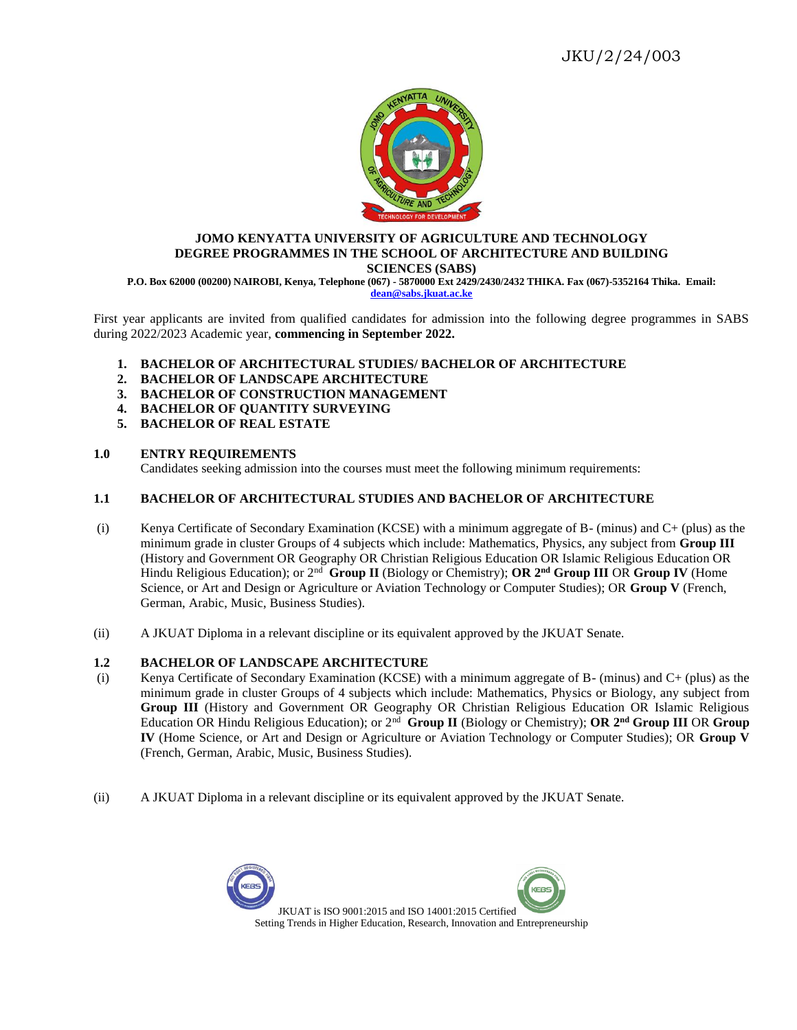

#### **JOMO KENYATTA UNIVERSITY OF AGRICULTURE AND TECHNOLOGY DEGREE PROGRAMMES IN THE SCHOOL OF ARCHITECTURE AND BUILDING SCIENCES (SABS)**

**P.O. Box 62000 (00200) NAIROBI, Kenya, Telephone (067) - 5870000 Ext 2429/2430/2432 THIKA. Fax (067)-5352164 Thika. Email: [dean@sabs.jkuat.ac.ke](mailto:dean@sabs.jkuat.ac.ke)**

First year applicants are invited from qualified candidates for admission into the following degree programmes in SABS during 2022/2023 Academic year, **commencing in September 2022.**

- **1. BACHELOR OF ARCHITECTURAL STUDIES/ BACHELOR OF ARCHITECTURE**
- **2. BACHELOR OF LANDSCAPE ARCHITECTURE**
- **3. BACHELOR OF CONSTRUCTION MANAGEMENT**
- **4. BACHELOR OF QUANTITY SURVEYING**
- **5. BACHELOR OF REAL ESTATE**

## **1.0 ENTRY REQUIREMENTS**

Candidates seeking admission into the courses must meet the following minimum requirements:

### **1.1 BACHELOR OF ARCHITECTURAL STUDIES AND BACHELOR OF ARCHITECTURE**

- (i) Kenya Certificate of Secondary Examination (KCSE) with a minimum aggregate of B- (minus) and C+ (plus) as the minimum grade in cluster Groups of 4 subjects which include: Mathematics, Physics, any subject from **Group III** (History and Government OR Geography OR Christian Religious Education OR Islamic Religious Education OR Hindu Religious Education); or 2nd **Group II** (Biology or Chemistry); **OR 2nd Group III** OR **Group IV** (Home Science, or Art and Design or Agriculture or Aviation Technology or Computer Studies); OR **Group V** (French, German, Arabic, Music, Business Studies).
- (ii) A JKUAT Diploma in a relevant discipline or its equivalent approved by the JKUAT Senate.

### **1.2 BACHELOR OF LANDSCAPE ARCHITECTURE**

- (i) Kenya Certificate of Secondary Examination (KCSE) with a minimum aggregate of B- (minus) and C+ (plus) as the minimum grade in cluster Groups of 4 subjects which include: Mathematics, Physics or Biology, any subject from **Group III** (History and Government OR Geography OR Christian Religious Education OR Islamic Religious Education OR Hindu Religious Education); or 2nd **Group II** (Biology or Chemistry); **OR 2nd Group III** OR **Group IV** (Home Science, or Art and Design or Agriculture or Aviation Technology or Computer Studies); OR **Group V**  (French, German, Arabic, Music, Business Studies).
- (ii) A JKUAT Diploma in a relevant discipline or its equivalent approved by the JKUAT Senate.